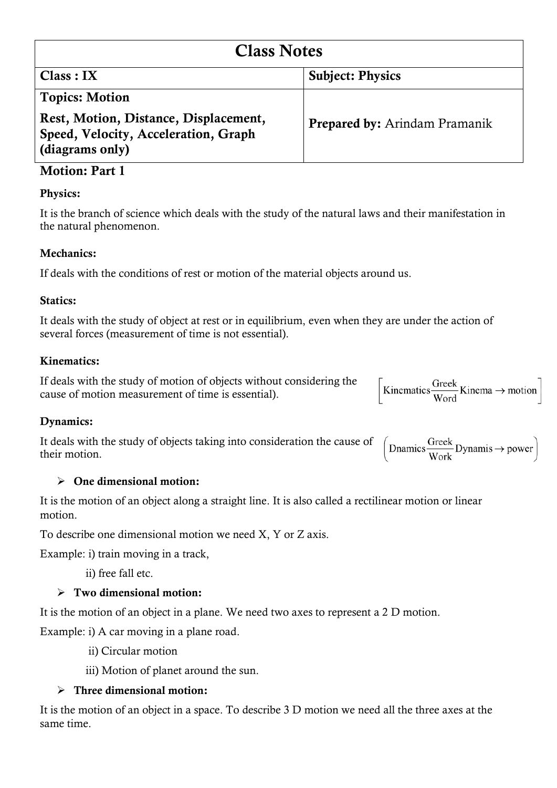| <b>Class Notes</b>                                                                                                        |                                      |
|---------------------------------------------------------------------------------------------------------------------------|--------------------------------------|
| Class: IX                                                                                                                 | <b>Subject: Physics</b>              |
| <b>Topics: Motion</b><br>Rest, Motion, Distance, Displacement,<br>Speed, Velocity, Acceleration, Graph<br>(diagrams only) | <b>Prepared by:</b> Arindam Pramanik |

# **Motion: Part 1**

#### **Physics:**

It is the branch of science which deals with the study of the natural laws and their manifestation in the natural phenomenon.

#### **Mechanics:**

If deals with the conditions of rest or motion of the material objects around us.

#### **Statics:**

It deals with the study of object at rest or in equilibrium, even when they are under the action of several forces (measurement of time is not essential).

### **Kinematics:**

If deals with the study of motion of objects without considering the cause of motion measurement of time is essential).

$$
Kinematics \frac{Greek}{Word} Kinema \rightarrow motion
$$

# **Dynamics:**

It deals with the study of objects taking into consideration the cause of their motion.

$$
\left(\text{Dnamics}\frac{\text{Greek}}{\text{Work}}\text{Dynamics} \rightarrow \text{power}\right)
$$

#### **One dimensional motion:**

It is the motion of an object along a straight line. It is also called a rectilinear motion or linear motion.

To describe one dimensional motion we need X, Y or Z axis.

Example: i) train moving in a track,

ii) free fall etc.

# **Two dimensional motion:**

It is the motion of an object in a plane. We need two axes to represent a 2 D motion.

Example: i) A car moving in a plane road.

ii) Circular motion

iii) Motion of planet around the sun.

#### **Three dimensional motion:**

It is the motion of an object in a space. To describe 3 D motion we need all the three axes at the same time.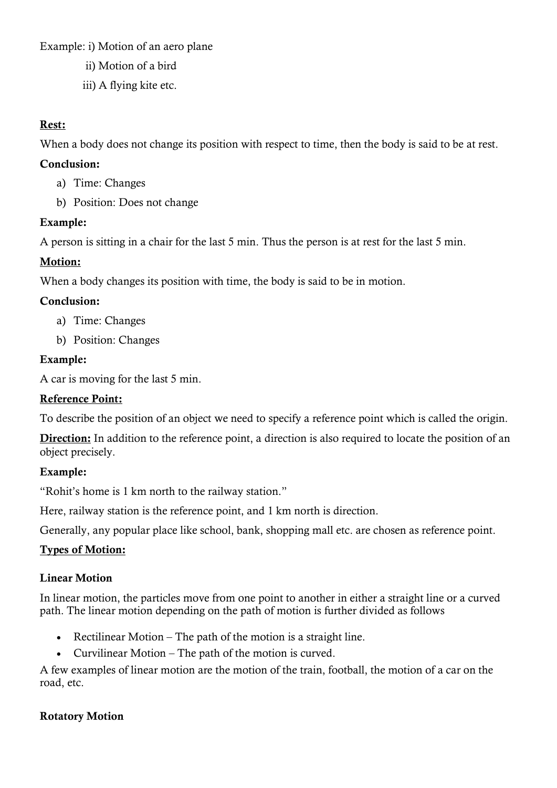Example: i) Motion of an aero plane

- ii) Motion of a bird
- iii) A flying kite etc.

### **Rest:**

When a body does not change its position with respect to time, then the body is said to be at rest.

### **Conclusion:**

- a) Time: Changes
- b) Position: Does not change

# **Example:**

A person is sitting in a chair for the last 5 min. Thus the person is at rest for the last 5 min.

# **Motion:**

When a body changes its position with time, the body is said to be in motion.

### **Conclusion:**

- a) Time: Changes
- b) Position: Changes

### **Example:**

A car is moving for the last 5 min.

### **Reference Point:**

To describe the position of an object we need to specify a reference point which is called the origin.

**Direction:** In addition to the reference point, a direction is also required to locate the position of an object precisely.

# **Example:**

"Rohit's home is 1 km north to the railway station."

Here, railway station is the reference point, and 1 km north is direction.

Generally, any popular place like school, bank, shopping mall etc. are chosen as reference point.

# **Types of Motion:**

# **Linear Motion**

In linear motion, the particles move from one point to another in either a straight line or a curved path. The linear motion depending on the path of motion is further divided as follows

- Rectilinear Motion The path of the motion is a straight line.
- Curvilinear Motion The path of the motion is curved.

A few examples of linear motion are the motion of the train, football, the motion of a car on the road, etc.

# **Rotatory Motion**